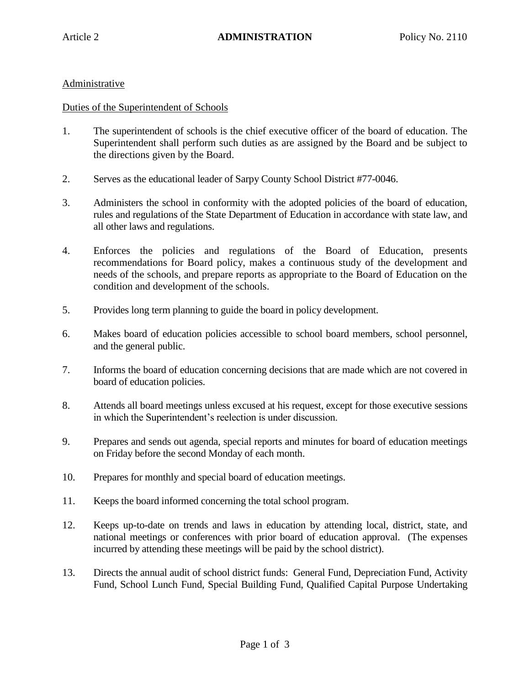## Administrative

## Duties of the Superintendent of Schools

- 1. The superintendent of schools is the chief executive officer of the board of education. The Superintendent shall perform such duties as are assigned by the Board and be subject to the directions given by the Board.
- 2. Serves as the educational leader of Sarpy County School District #77-0046.
- 3. Administers the school in conformity with the adopted policies of the board of education, rules and regulations of the State Department of Education in accordance with state law, and all other laws and regulations.
- 4. Enforces the policies and regulations of the Board of Education, presents recommendations for Board policy, makes a continuous study of the development and needs of the schools, and prepare reports as appropriate to the Board of Education on the condition and development of the schools.
- 5. Provides long term planning to guide the board in policy development.
- 6. Makes board of education policies accessible to school board members, school personnel, and the general public.
- 7. Informs the board of education concerning decisions that are made which are not covered in board of education policies.
- 8. Attends all board meetings unless excused at his request, except for those executive sessions in which the Superintendent's reelection is under discussion.
- 9. Prepares and sends out agenda, special reports and minutes for board of education meetings on Friday before the second Monday of each month.
- 10. Prepares for monthly and special board of education meetings.
- 11. Keeps the board informed concerning the total school program.
- 12. Keeps up-to-date on trends and laws in education by attending local, district, state, and national meetings or conferences with prior board of education approval. (The expenses incurred by attending these meetings will be paid by the school district).
- 13. Directs the annual audit of school district funds: General Fund, Depreciation Fund, Activity Fund, School Lunch Fund, Special Building Fund, Qualified Capital Purpose Undertaking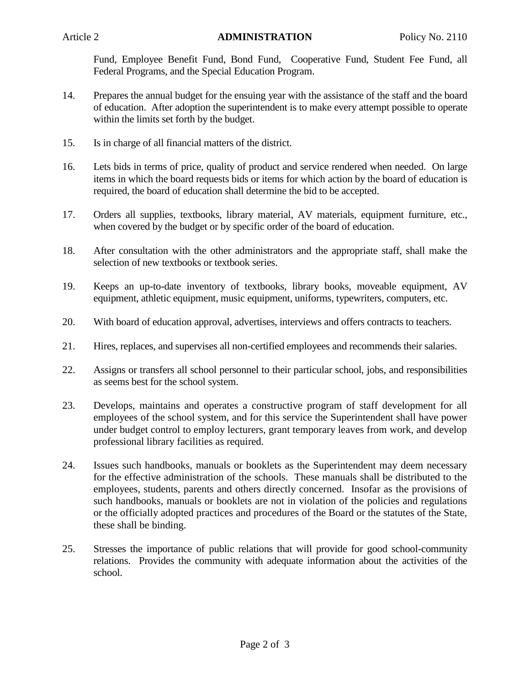Fund, Employee Benefit Fund, Bond Fund, Cooperative Fund, Student Fee Fund, all Federal Programs, and the Special Education Program.

- 14. Prepares the annual budget for the ensuing year with the assistance of the staff and the board of education. After adoption the superintendent is to make every attempt possible to operate within the limits set forth by the budget.
- 15. Is in charge of all financial matters of the district.
- 16. Lets bids in terms of price, quality of product and service rendered when needed. On large items in which the board requests bids or items for which action by the board of education is required, the board of education shall determine the bid to be accepted.
- 17. Orders all supplies, textbooks, library material, AV materials, equipment furniture, etc., when covered by the budget or by specific order of the board of education.
- 18. After consultation with the other administrators and the appropriate staff, shall make the selection of new textbooks or textbook series.
- 19. Keeps an up-to-date inventory of textbooks, library books, moveable equipment, AV equipment, athletic equipment, music equipment, uniforms, typewriters, computers, etc.
- 20. With board of education approval, advertises, interviews and offers contracts to teachers.
- 21. Hires, replaces, and supervises all non-certified employees and recommends their salaries.
- 22. Assigns or transfers all school personnel to their particular school, jobs, and responsibilities as seems best for the school system.
- 23. Develops, maintains and operates a constructive program of staff development for all employees of the school system, and for this service the Superintendent shall have power under budget control to employ lecturers, grant temporary leaves from work, and develop professional library facilities as required.
- 24. Issues such handbooks, manuals or booklets as the Superintendent may deem necessary for the effective administration of the schools. These manuals shall be distributed to the employees, students, parents and others directly concerned. Insofar as the provisions of such handbooks, manuals or booklets are not in violation of the policies and regulations or the officially adopted practices and procedures of the Board or the statutes of the State, these shall be binding.
- 25. Stresses the importance of public relations that will provide for good school-community relations. Provides the community with adequate information about the activities of the school.